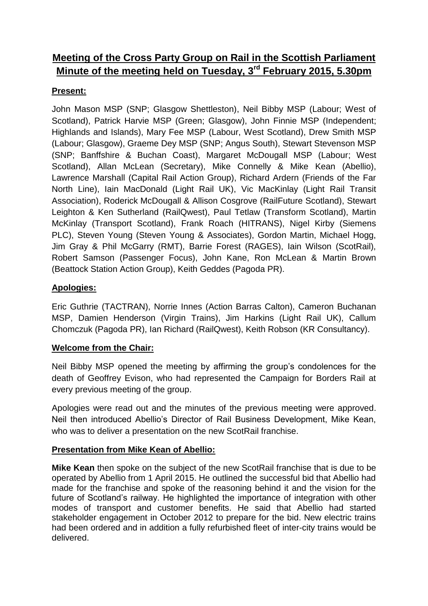# **Meeting of the Cross Party Group on Rail in the Scottish Parliament Minute of the meeting held on Tuesday, 3rd February 2015, 5.30pm**

## **Present:**

John Mason MSP (SNP; Glasgow Shettleston), Neil Bibby MSP (Labour; West of Scotland), Patrick Harvie MSP (Green; Glasgow), John Finnie MSP (Independent; Highlands and Islands), Mary Fee MSP (Labour, West Scotland), Drew Smith MSP (Labour; Glasgow), Graeme Dey MSP (SNP; Angus South), Stewart Stevenson MSP (SNP; Banffshire & Buchan Coast), Margaret McDougall MSP (Labour; West Scotland), Allan McLean (Secretary), Mike Connelly & Mike Kean (Abellio), Lawrence Marshall (Capital Rail Action Group), Richard Ardern (Friends of the Far North Line), Iain MacDonald (Light Rail UK), Vic MacKinlay (Light Rail Transit Association), Roderick McDougall & Allison Cosgrove (RailFuture Scotland), Stewart Leighton & Ken Sutherland (RailQwest), Paul Tetlaw (Transform Scotland), Martin McKinlay (Transport Scotland), Frank Roach (HITRANS), Nigel Kirby (Siemens PLC), Steven Young (Steven Young & Associates), Gordon Martin, Michael Hogg, Jim Gray & Phil McGarry (RMT), Barrie Forest (RAGES), Iain Wilson (ScotRail), Robert Samson (Passenger Focus), John Kane, Ron McLean & Martin Brown (Beattock Station Action Group), Keith Geddes (Pagoda PR).

## **Apologies:**

Eric Guthrie (TACTRAN), Norrie Innes (Action Barras Calton), Cameron Buchanan MSP, Damien Henderson (Virgin Trains), Jim Harkins (Light Rail UK), Callum Chomczuk (Pagoda PR), Ian Richard (RailQwest), Keith Robson (KR Consultancy).

#### **Welcome from the Chair:**

Neil Bibby MSP opened the meeting by affirming the group's condolences for the death of Geoffrey Evison, who had represented the Campaign for Borders Rail at every previous meeting of the group.

Apologies were read out and the minutes of the previous meeting were approved. Neil then introduced Abellio's Director of Rail Business Development, Mike Kean, who was to deliver a presentation on the new ScotRail franchise.

#### **Presentation from Mike Kean of Abellio:**

**Mike Kean** then spoke on the subject of the new ScotRail franchise that is due to be operated by Abellio from 1 April 2015. He outlined the successful bid that Abellio had made for the franchise and spoke of the reasoning behind it and the vision for the future of Scotland's railway. He highlighted the importance of integration with other modes of transport and customer benefits. He said that Abellio had started stakeholder engagement in October 2012 to prepare for the bid. New electric trains had been ordered and in addition a fully refurbished fleet of inter-city trains would be delivered.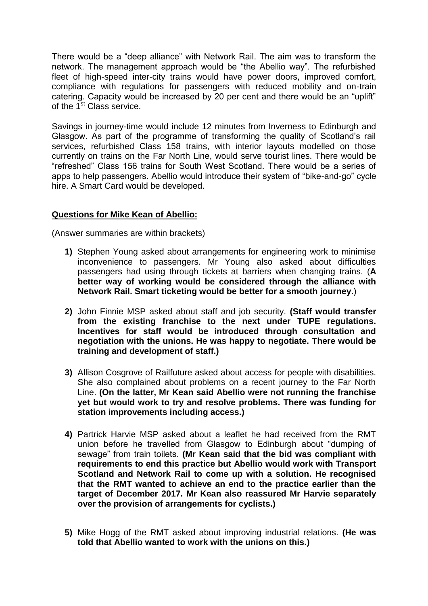There would be a "deep alliance" with Network Rail. The aim was to transform the network. The management approach would be "the Abellio way". The refurbished fleet of high-speed inter-city trains would have power doors, improved comfort, compliance with regulations for passengers with reduced mobility and on-train catering. Capacity would be increased by 20 per cent and there would be an "uplift" of the  $1<sup>st</sup>$  Class service.

Savings in journey-time would include 12 minutes from Inverness to Edinburgh and Glasgow. As part of the programme of transforming the quality of Scotland's rail services, refurbished Class 158 trains, with interior layouts modelled on those currently on trains on the Far North Line, would serve tourist lines. There would be "refreshed" Class 156 trains for South West Scotland. There would be a series of apps to help passengers. Abellio would introduce their system of "bike-and-go" cycle hire. A Smart Card would be developed.

#### **Questions for Mike Kean of Abellio:**

(Answer summaries are within brackets)

- **1)** Stephen Young asked about arrangements for engineering work to minimise inconvenience to passengers. Mr Young also asked about difficulties passengers had using through tickets at barriers when changing trains. (**A better way of working would be considered through the alliance with Network Rail. Smart ticketing would be better for a smooth journey**.)
- **2)** John Finnie MSP asked about staff and job security. **(Staff would transfer from the existing franchise to the next under TUPE regulations. Incentives for staff would be introduced through consultation and negotiation with the unions. He was happy to negotiate. There would be training and development of staff.)**
- **3)** Allison Cosgrove of Railfuture asked about access for people with disabilities. She also complained about problems on a recent journey to the Far North Line. **(On the latter, Mr Kean said Abellio were not running the franchise yet but would work to try and resolve problems. There was funding for station improvements including access.)**
- **4)** Partrick Harvie MSP asked about a leaflet he had received from the RMT union before he travelled from Glasgow to Edinburgh about "dumping of sewage" from train toilets. **(Mr Kean said that the bid was compliant with requirements to end this practice but Abellio would work with Transport Scotland and Network Rail to come up with a solution. He recognised that the RMT wanted to achieve an end to the practice earlier than the target of December 2017. Mr Kean also reassured Mr Harvie separately over the provision of arrangements for cyclists.)**
- **5)** Mike Hogg of the RMT asked about improving industrial relations. **(He was told that Abellio wanted to work with the unions on this.)**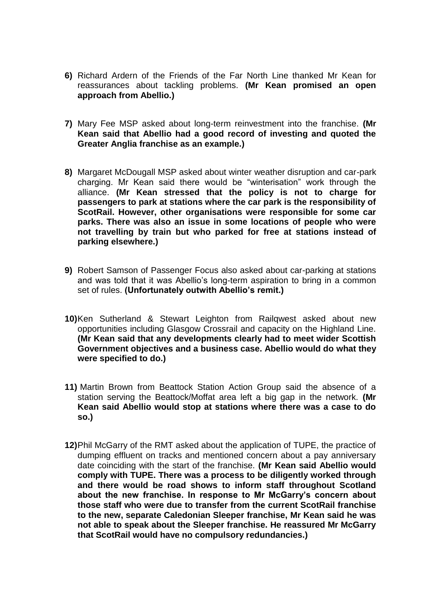- **6)** Richard Ardern of the Friends of the Far North Line thanked Mr Kean for reassurances about tackling problems. **(Mr Kean promised an open approach from Abellio.)**
- **7)** Mary Fee MSP asked about long-term reinvestment into the franchise. **(Mr Kean said that Abellio had a good record of investing and quoted the Greater Anglia franchise as an example.)**
- **8)** Margaret McDougall MSP asked about winter weather disruption and car-park charging. Mr Kean said there would be "winterisation" work through the alliance. **(Mr Kean stressed that the policy is not to charge for passengers to park at stations where the car park is the responsibility of ScotRail. However, other organisations were responsible for some car parks. There was also an issue in some locations of people who were not travelling by train but who parked for free at stations instead of parking elsewhere.)**
- **9)** Robert Samson of Passenger Focus also asked about car-parking at stations and was told that it was Abellio's long-term aspiration to bring in a common set of rules. **(Unfortunately outwith Abellio's remit.)**
- **10)**Ken Sutherland & Stewart Leighton from Railqwest asked about new opportunities including Glasgow Crossrail and capacity on the Highland Line. **(Mr Kean said that any developments clearly had to meet wider Scottish Government objectives and a business case. Abellio would do what they were specified to do.)**
- **11)** Martin Brown from Beattock Station Action Group said the absence of a station serving the Beattock/Moffat area left a big gap in the network. **(Mr Kean said Abellio would stop at stations where there was a case to do so.)**
- **12)**Phil McGarry of the RMT asked about the application of TUPE, the practice of dumping effluent on tracks and mentioned concern about a pay anniversary date coinciding with the start of the franchise. **(Mr Kean said Abellio would comply with TUPE. There was a process to be diligently worked through and there would be road shows to inform staff throughout Scotland about the new franchise. In response to Mr McGarry's concern about those staff who were due to transfer from the current ScotRail franchise to the new, separate Caledonian Sleeper franchise, Mr Kean said he was not able to speak about the Sleeper franchise. He reassured Mr McGarry that ScotRail would have no compulsory redundancies.)**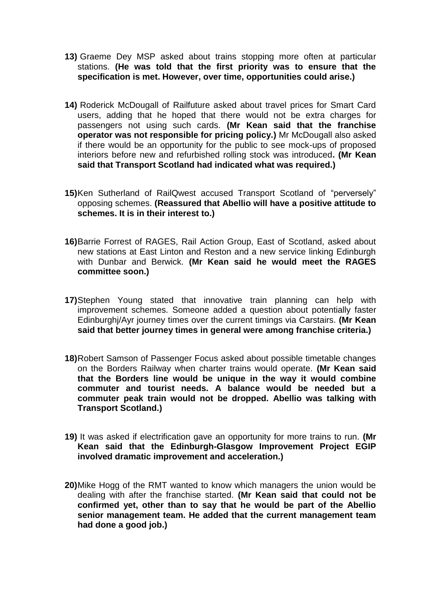- **13)** Graeme Dey MSP asked about trains stopping more often at particular stations. **(He was told that the first priority was to ensure that the specification is met. However, over time, opportunities could arise.)**
- **14)** Roderick McDougall of Railfuture asked about travel prices for Smart Card users, adding that he hoped that there would not be extra charges for passengers not using such cards. **(Mr Kean said that the franchise operator was not responsible for pricing policy.)** Mr McDougall also asked if there would be an opportunity for the public to see mock-ups of proposed interiors before new and refurbished rolling stock was introduced**. (Mr Kean said that Transport Scotland had indicated what was required.)**
- **15)**Ken Sutherland of RailQwest accused Transport Scotland of "perversely" opposing schemes. **(Reassured that Abellio will have a positive attitude to schemes. It is in their interest to.)**
- **16)**Barrie Forrest of RAGES, Rail Action Group, East of Scotland, asked about new stations at East Linton and Reston and a new service linking Edinburgh with Dunbar and Berwick. **(Mr Kean said he would meet the RAGES committee soon.)**
- **17)**Stephen Young stated that innovative train planning can help with improvement schemes. Someone added a question about potentially faster Edinburghj/Ayr journey times over the current timings via Carstairs. **(Mr Kean said that better journey times in general were among franchise criteria.)**
- **18)**Robert Samson of Passenger Focus asked about possible timetable changes on the Borders Railway when charter trains would operate. **(Mr Kean said that the Borders line would be unique in the way it would combine commuter and tourist needs. A balance would be needed but a commuter peak train would not be dropped. Abellio was talking with Transport Scotland.)**
- **19)** It was asked if electrification gave an opportunity for more trains to run. **(Mr Kean said that the Edinburgh-Glasgow Improvement Project EGIP involved dramatic improvement and acceleration.)**
- **20)**Mike Hogg of the RMT wanted to know which managers the union would be dealing with after the franchise started. **(Mr Kean said that could not be confirmed yet, other than to say that he would be part of the Abellio senior management team. He added that the current management team had done a good job.)**